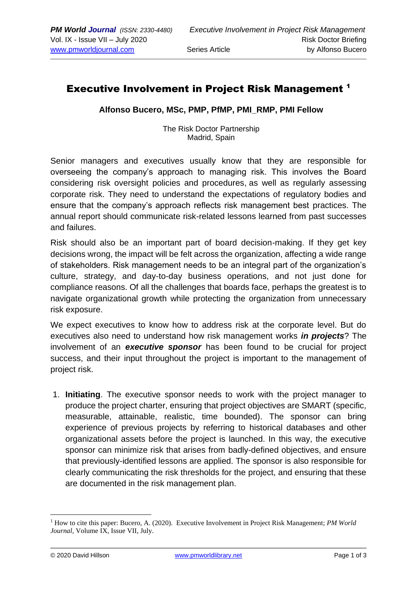## Executive Involvement in Project Risk Management <sup>1</sup>

**Alfonso Bucero, MSc, PMP, PfMP, PMI\_RMP, PMI Fellow**

The Risk Doctor Partnership Madrid, Spain

Senior managers and executives usually know that they are responsible for overseeing the company's approach to managing risk. This involves the Board considering [risk oversight policies and procedures,](https://www.boardeffect.com/blog/board-directors-risk-management-oversight-collaboration-management-key/) as well as regularly assessing corporate risk. They need to understand the expectations of regulatory bodies and ensure that the company's approach reflects risk management best practices. The annual report should communicate risk-related lessons learned from past successes and failures.

Risk should also be an important part of board decision-making. If they get key decisions wrong, the impact will be felt across the organization, affecting a wide range of stakeholders. Risk management needs to be an integral part of the organization's culture, strategy, and day-to-day business operations, and not just done for compliance reasons. Of all the challenges that boards face, perhaps the greatest is to navigate organizational growth while protecting the organization from unnecessary risk exposure.

We expect executives to know how to address risk at the corporate level. But do executives also need to understand how risk management works *in projects*? The involvement of an *executive sponsor* has been found to be crucial for project success, and their input throughout the project is important to the management of project risk.

1. **Initiating**. The executive sponsor needs to work with the project manager to produce the project charter, ensuring that project objectives are SMART (specific, measurable, attainable, realistic, time bounded). The sponsor can bring experience of previous projects by referring to historical databases and other organizational assets before the project is launched. In this way, the executive sponsor can minimize risk that arises from badly-defined objectives, and ensure that previously-identified lessons are applied. The sponsor is also responsible for clearly communicating the risk thresholds for the project, and ensuring that these are documented in the risk management plan.

<sup>&</sup>lt;sup>1</sup> How to cite this paper: Bucero, A. (2020). Executive Involvement in Project Risk Management; *PM World Journal,* Volume IX, Issue VII, July.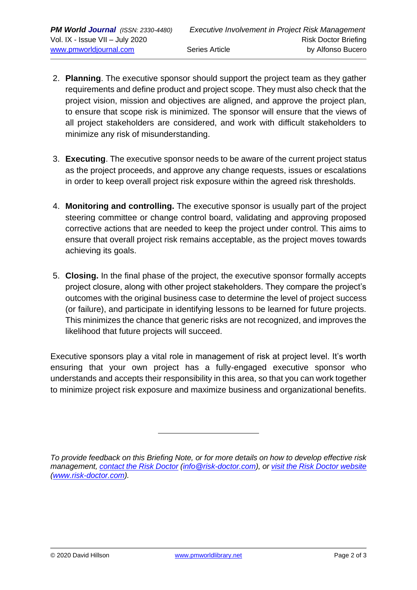- 2. **Planning**. The executive sponsor should support the project team as they gather requirements and define product and project scope. They must also check that the project vision, mission and objectives are aligned, and approve the project plan, to ensure that scope risk is minimized. The sponsor will ensure that the views of all project stakeholders are considered, and work with difficult stakeholders to minimize any risk of misunderstanding.
- 3. **Executing**. The executive sponsor needs to be aware of the current project status as the project proceeds, and approve any change requests, issues or escalations in order to keep overall project risk exposure within the agreed risk thresholds.
- 4. **Monitoring and controlling.** The executive sponsor is usually part of the project steering committee or change control board, validating and approving proposed corrective actions that are needed to keep the project under control. This aims to ensure that overall project risk remains acceptable, as the project moves towards achieving its goals.
- 5. **Closing.** In the final phase of the project, the executive sponsor formally accepts project closure, along with other project stakeholders. They compare the project's outcomes with the original business case to determine the level of project success (or failure), and participate in identifying lessons to be learned for future projects. This minimizes the chance that generic risks are not recognized, and improves the likelihood that future projects will succeed.

Executive sponsors play a vital role in management of risk at project level. It's worth ensuring that your own project has a fully-engaged executive sponsor who understands and accepts their responsibility in this area, so that you can work together to minimize project risk exposure and maximize business and organizational benefits.

*To provide feedback on this Briefing Note, or for more details on how to develop effective risk management, [contact the Risk Doctor](mailto:info@risk-doctor.com?subject=RD%20Briefing%20feedback) [\(info@risk-doctor.com\)](mailto:info@risk-doctor.com?subject=RD%20Network%20feedback), or [visit the Risk Doctor website](http://www.risk-doctor.com/) [\(www.risk-doctor.com\)](http://www.risk-doctor.com/).*